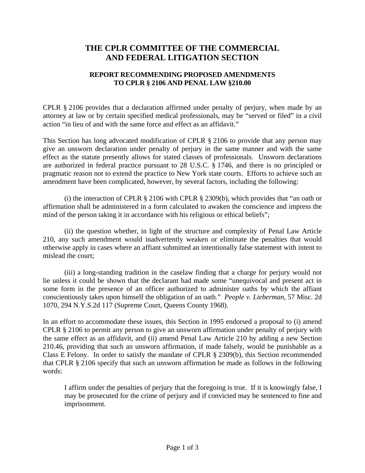## **THE CPLR COMMITTEE OF THE COMMERCIAL AND FEDERAL LITIGATION SECTION**

## **REPORT RECOMMENDING PROPOSED AMENDMENTS TO CPLR § 2106 AND PENAL LAW §210.00**

CPLR § 2106 provides that a declaration affirmed under penalty of perjury, when made by an attorney at law or by certain specified medical professionals, may be "served or filed" in a civil action "in lieu of and with the same force and effect as an affidavit."

This Section has long advocated modification of CPLR § 2106 to provide that any person may give an unsworn declaration under penalty of perjury in the same manner and with the same effect as the statute presently allows for stated classes of professionals. Unsworn declarations are authorized in federal practice pursuant to 28 U.S.C. § 1746, and there is no principled or pragmatic reason not to extend the practice to New York state courts. Efforts to achieve such an amendment have been complicated, however, by several factors, including the following:

 (i) the interaction of CPLR § 2106 with CPLR § 2309(b), which provides that "an oath or affirmation shall be administered in a form calculated to awaken the conscience and impress the mind of the person taking it in accordance with his religious or ethical beliefs";

 (ii) the question whether, in light of the structure and complexity of Penal Law Article 210, any such amendment would inadvertently weaken or eliminate the penalties that would otherwise apply in cases where an affiant submitted an intentionally false statement with intent to mislead the court;

 (iii) a long-standing tradition in the caselaw finding that a charge for perjury would not lie unless it could be shown that the declarant had made some "unequivocal and present act in some form in the presence of an officer authorized to administer oaths by which the affiant conscientiously takes upon himself the obligation of an oath." *People v. Lieberman*, 57 Misc. 2d 1070, 294 N.Y.S.2d 117 (Supreme Court, Queens County 1968).

In an effort to accommodate these issues, this Section in 1995 endorsed a proposal to (i) amend CPLR § 2106 to permit any person to give an unsworn affirmation under penalty of perjury with the same effect as an affidavit, and (ii) amend Penal Law Article 210 by adding a new Section 210.46, providing that such an unsworn affirmation, if made falsely, would be punishable as a Class E Felony. In order to satisfy the mandate of CPLR § 2309(b), this Section recommended that CPLR § 2106 specify that such an unsworn affirmation be made as follows in the following words:

I affirm under the penalties of perjury that the foregoing is true. If it is knowingly false, I may be prosecuted for the crime of perjury and if convicted may be sentenced to fine and imprisonment.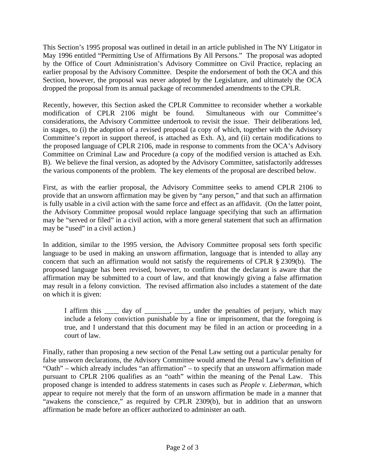This Section's 1995 proposal was outlined in detail in an article published in The NY Litigator in May 1996 entitled "Permitting Use of Affirmations By All Persons." The proposal was adopted by the Office of Court Administration's Advisory Committee on Civil Practice, replacing an earlier proposal by the Advisory Committee. Despite the endorsement of both the OCA and this Section, however, the proposal was never adopted by the Legislature, and ultimately the OCA dropped the proposal from its annual package of recommended amendments to the CPLR.

Recently, however, this Section asked the CPLR Committee to reconsider whether a workable modification of CPLR 2106 might be found. Simultaneous with our Committee's considerations, the Advisory Committee undertook to revisit the issue. Their deliberations led, in stages, to (i) the adoption of a revised proposal (a copy of which, together with the Advisory Committee's report in support thereof, is attached as Exh. A), and (ii) certain modifications to the proposed language of CPLR 2106, made in response to comments from the OCA's Advisory Committee on Criminal Law and Procedure (a copy of the modified version is attached as Exh. B). We believe the final version, as adopted by the Advisory Committee, satisfactorily addresses the various components of the problem. The key elements of the proposal are described below.

First, as with the earlier proposal, the Advisory Committee seeks to amend CPLR 2106 to provide that an unsworn affirmation may be given by "any person," and that such an affirmation is fully usable in a civil action with the same force and effect as an affidavit. (On the latter point, the Advisory Committee proposal would replace language specifying that such an affirmation may be "served or filed" in a civil action, with a more general statement that such an affirmation may be "used" in a civil action.)

In addition, similar to the 1995 version, the Advisory Committee proposal sets forth specific language to be used in making an unsworn affirmation, language that is intended to allay any concern that such an affirmation would not satisfy the requirements of CPLR § 2309(b). The proposed language has been revised, however, to confirm that the declarant is aware that the affirmation may be submitted to a court of law, and that knowingly giving a false affirmation may result in a felony conviction. The revised affirmation also includes a statement of the date on which it is given:

I affirm this \_\_\_\_ day of \_\_\_\_\_\_, \_\_\_, under the penalties of perjury, which may include a felony conviction punishable by a fine or imprisonment, that the foregoing is true, and I understand that this document may be filed in an action or proceeding in a court of law.

Finally, rather than proposing a new section of the Penal Law setting out a particular penalty for false unsworn declarations, the Advisory Committee would amend the Penal Law's definition of "Oath" – which already includes "an affirmation" – to specify that an unsworn affirmation made pursuant to CPLR 2106 qualifies as an "oath" within the meaning of the Penal Law. This proposed change is intended to address statements in cases such as *People v. Lieberman*, which appear to require not merely that the form of an unsworn affirmation be made in a manner that "awakens the conscience," as required by CPLR 2309(b), but in addition that an unsworn affirmation be made before an officer authorized to administer an oath.